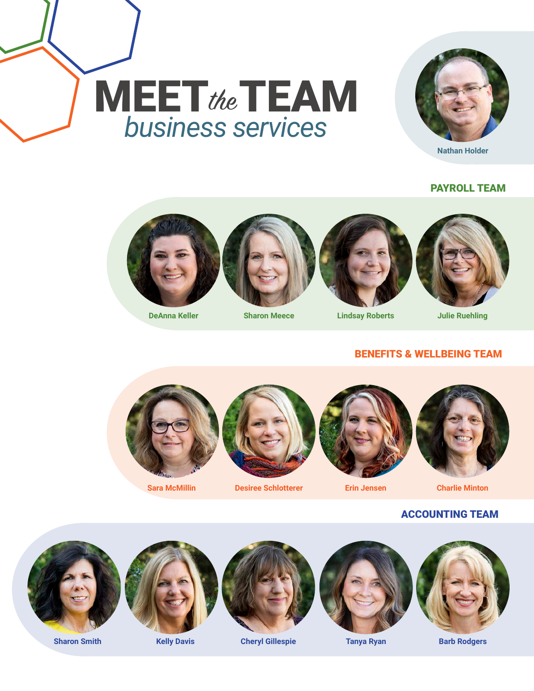



PAYROLL TEAM





#### **DeAnna Keller Sharon Meece Lindsay Roberts Julie Ruehling**



#### BENEFITS & WELLBEING TEAM





**Sara McMillin Desiree Schlotterer Erin Jensen Charlie Minton**



#### ACCOUNTING TEAM







**Sharon Smith Kelly Davis Cheryl Gillespie Tanya Ryan Barb Rodgers**